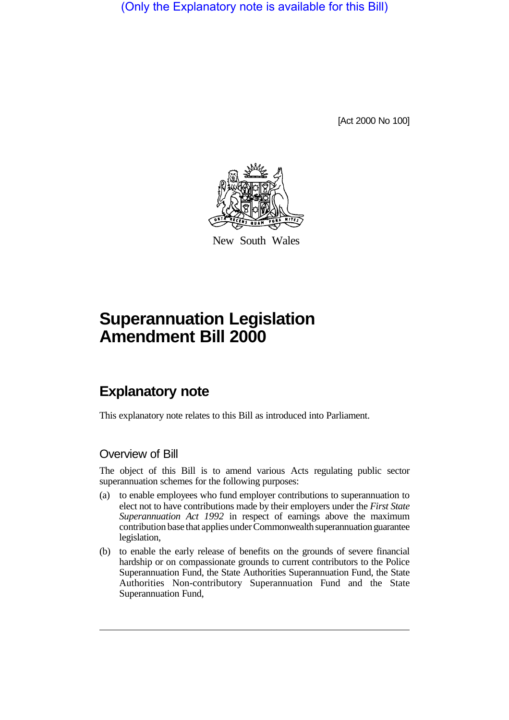(Only the Explanatory note is available for this Bill)

[Act 2000 No 100]



New South Wales

# **Superannuation Legislation Amendment Bill 2000**

## **Explanatory note**

This explanatory note relates to this Bill as introduced into Parliament.

#### Overview of Bill

The object of this Bill is to amend various Acts regulating public sector superannuation schemes for the following purposes:

- (a) to enable employees who fund employer contributions to superannuation to elect not to have contributions made by their employers under the *First State Superannuation Act 1992* in respect of earnings above the maximum contribution base that applies under Commonwealth superannuation guarantee legislation,
- (b) to enable the early release of benefits on the grounds of severe financial hardship or on compassionate grounds to current contributors to the Police Superannuation Fund, the State Authorities Superannuation Fund, the State Authorities Non-contributory Superannuation Fund and the State Superannuation Fund,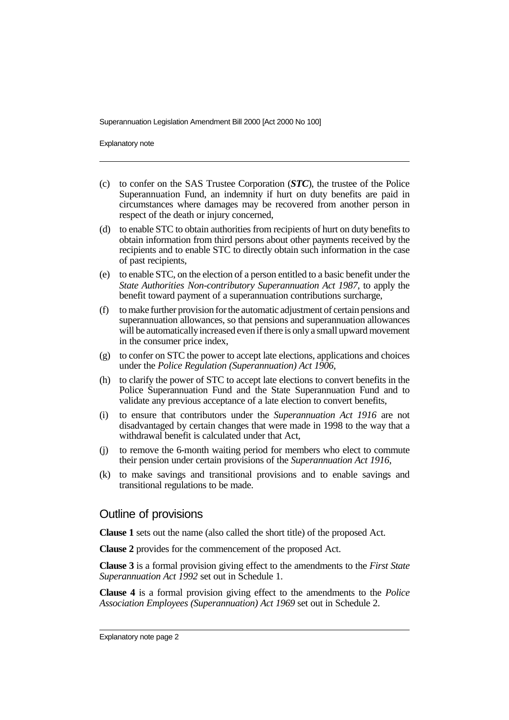Superannuation Legislation Amendment Bill 2000 [Act 2000 No 100]

Explanatory note

- (c) to confer on the SAS Trustee Corporation (*STC*), the trustee of the Police Superannuation Fund, an indemnity if hurt on duty benefits are paid in circumstances where damages may be recovered from another person in respect of the death or injury concerned,
- (d) to enable STC to obtain authorities from recipients of hurt on duty benefits to obtain information from third persons about other payments received by the recipients and to enable STC to directly obtain such information in the case of past recipients,
- (e) to enable STC, on the election of a person entitled to a basic benefit under the *State Authorities Non-contributory Superannuation Act 1987*, to apply the benefit toward payment of a superannuation contributions surcharge,
- (f) to make further provision for the automatic adjustment of certain pensions and superannuation allowances, so that pensions and superannuation allowances will be automatically increased even if there is only a small upward movement in the consumer price index,
- (g) to confer on STC the power to accept late elections, applications and choices under the *Police Regulation (Superannuation) Act 1906*,
- (h) to clarify the power of STC to accept late elections to convert benefits in the Police Superannuation Fund and the State Superannuation Fund and to validate any previous acceptance of a late election to convert benefits,
- (i) to ensure that contributors under the *Superannuation Act 1916* are not disadvantaged by certain changes that were made in 1998 to the way that a withdrawal benefit is calculated under that Act,
- (j) to remove the 6-month waiting period for members who elect to commute their pension under certain provisions of the *Superannuation Act 1916*,
- (k) to make savings and transitional provisions and to enable savings and transitional regulations to be made.

#### Outline of provisions

**Clause 1** sets out the name (also called the short title) of the proposed Act.

**Clause 2** provides for the commencement of the proposed Act.

**Clause 3** is a formal provision giving effect to the amendments to the *First State Superannuation Act 1992* set out in Schedule 1.

**Clause 4** is a formal provision giving effect to the amendments to the *Police Association Employees (Superannuation) Act 1969* set out in Schedule 2.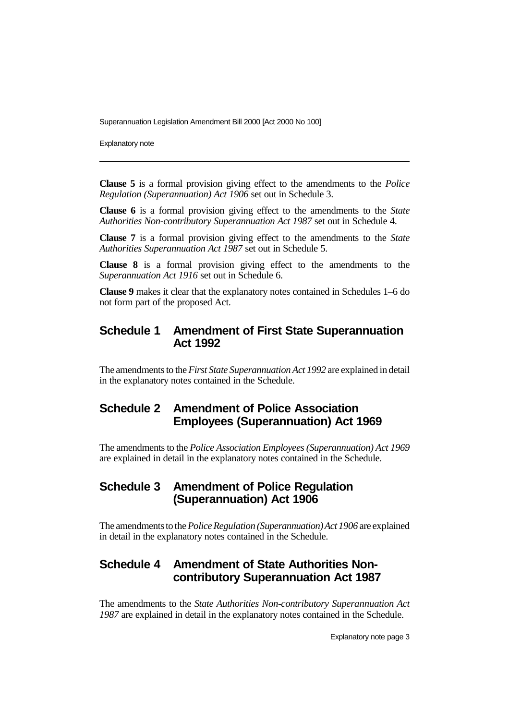Superannuation Legislation Amendment Bill 2000 [Act 2000 No 100]

Explanatory note

**Clause 5** is a formal provision giving effect to the amendments to the *Police Regulation (Superannuation) Act 1906* set out in Schedule 3.

**Clause 6** is a formal provision giving effect to the amendments to the *State Authorities Non-contributory Superannuation Act 1987* set out in Schedule 4.

**Clause 7** is a formal provision giving effect to the amendments to the *State Authorities Superannuation Act 1987* set out in Schedule 5.

**Clause 8** is a formal provision giving effect to the amendments to the *Superannuation Act 1916* set out in Schedule 6.

**Clause 9** makes it clear that the explanatory notes contained in Schedules 1–6 do not form part of the proposed Act.

#### **Schedule 1 Amendment of First State Superannuation Act 1992**

The amendments to the *First State Superannuation Act 1992* are explained in detail in the explanatory notes contained in the Schedule.

#### **Schedule 2 Amendment of Police Association Employees (Superannuation) Act 1969**

The amendments to the *Police Association Employees (Superannuation) Act 1969* are explained in detail in the explanatory notes contained in the Schedule.

#### **Schedule 3 Amendment of Police Regulation (Superannuation) Act 1906**

The amendments to the *Police Regulation (Superannuation) Act 1906* are explained in detail in the explanatory notes contained in the Schedule.

#### **Schedule 4 Amendment of State Authorities Noncontributory Superannuation Act 1987**

The amendments to the *State Authorities Non-contributory Superannuation Act 1987* are explained in detail in the explanatory notes contained in the Schedule.